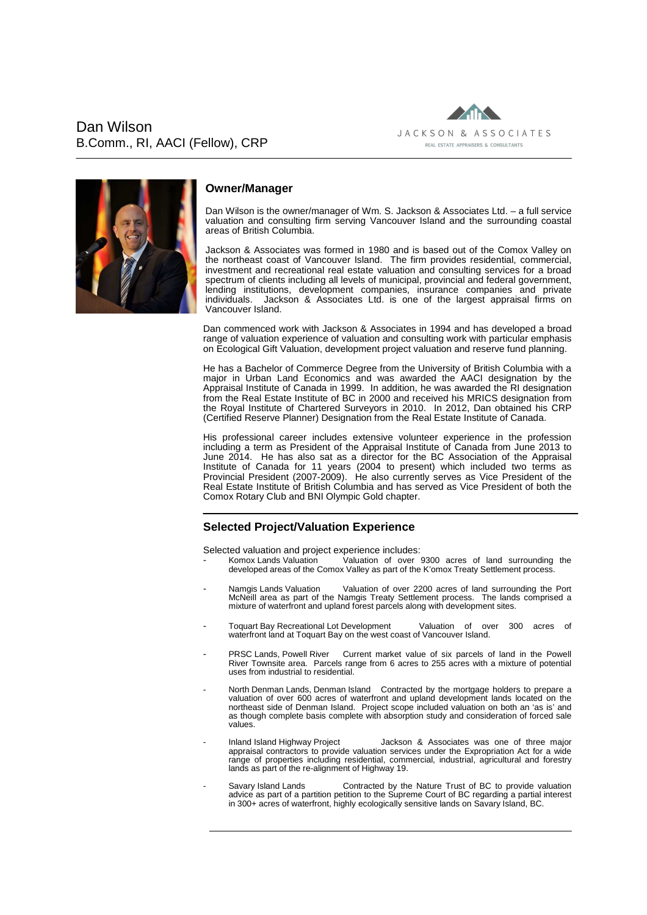Dan Wilson B.Comm., RI, AACI (Fellow), CRP





## **Owner/Manager**

Dan Wilson is the owner/manager of Wm. S. Jackson & Associates Ltd. – a full service valuation and consulting firm serving Vancouver Island and the surrounding coastal areas of British Columbia.

Jackson & Associates was formed in 1980 and is based out of the Comox Valley on the northeast coast of Vancouver Island. The firm provides residential, commercial, investment and recreational real estate valuation and consulting services for a broad spectrum of clients including all levels of municipal, provincial and federal government, lending institutions, development companies, insurance companies and private individuals. Jackson & Associates Ltd. is one of the largest appraisal firms on Jackson & Associates Ltd. is one of the largest appraisal firms on Vancouver Island.

Dan commenced work with Jackson & Associates in 1994 and has developed a broad range of valuation experience of valuation and consulting work with particular emphasis on Ecological Gift Valuation, development project valuation and reserve fund planning.

He has a Bachelor of Commerce Degree from the University of British Columbia with a major in Urban Land Economics and was awarded the AACI designation by the Appraisal Institute of Canada in 1999. In addition, he was awarded the RI designation from the Real Estate Institute of BC in 2000 and received his MRICS designation from the Royal Institute of Chartered Surveyors in 2010. In 2012, Dan obtained his CRP (Certified Reserve Planner) Designation from the Real Estate Institute of Canada.

His professional career includes extensive volunteer experience in the profession including a term as President of the Appraisal Institute of Canada from June 2013 to June 2014. He has also sat as a director for the BC Association of the Appraisal Institute of Canada for 11 years (2004 to present) which included two terms as Provincial President (2007-2009). He also currently serves as Vice President of the Real Estate Institute of British Columbia and has served as Vice President of both the Comox Rotary Club and BNI Olympic Gold chapter.

# **Selected Project/Valuation Experience**

Selected valuation and project experience includes:

- Komox Lands Valuation Valuation of over 9300 acres of land surrounding the developed areas of the Comox Valley as part of the K'omox Treaty Settlement process.
- Namgis Lands Valuation Valuation of over 2200 acres of land surrounding the Port McNeill area as part of the Namgis Treaty Settlement process. The lands comprised a mixture of waterfront and upland forest parcels along with development sites.
- Toquart Bay Recreational Lot Development Valuation of over 300 acres of waterfront land at Toquart Bay on the west coast of Vancouver Island.
- PRSC Lands, Powell River Current market value of six parcels of land in the Powell River Townsite area. Parcels range from 6 acres to 255 acres with a mixture of potential uses from industrial to residential.
- North Denman Lands, Denman Island Contracted by the mortgage holders to prepare a valuation of over 600 acres of waterfront and upland development lands located on the northeast side of Denman Island. Project scope included valuation on both an 'as is' and as though complete basis complete with absorption study and consideration of forced sale values.
- Inland Island Highway Project Jackson & Associates was one of three major appraisal contractors to provide valuation services under the Expropriation Act for a wide range of properties including residential, commercial, industrial, agricultural and forestry lands as part of the re-alignment of Highway 19.
- Savary Island Lands Contracted by the Nature Trust of BC to provide valuation advice as part of a partition petition to the Supreme Court of BC regarding a partial interest in 300+ acres of waterfront, highly ecologically sensitive lands on Savary Island, BC.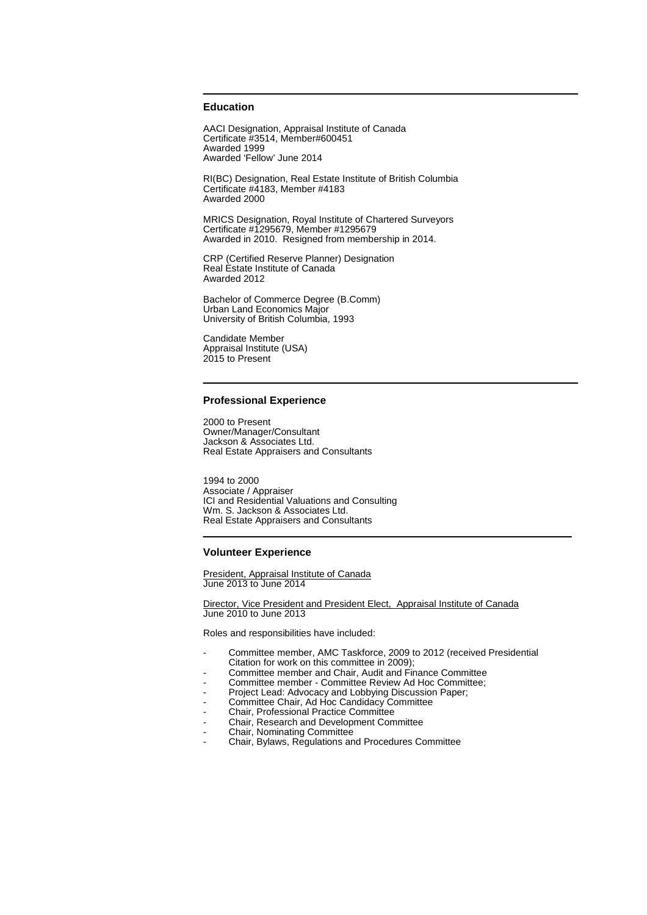## **Education**

AACI Designation, Appraisal Institute of Canada Certificate #3514, Member#600451 Awarded 1999 Awarded 'Fellow' June 2014

RI(BC) Designation, Real Estate Institute of British Columbia Certificate #4183, Member #4183 Awarded 2000

MRICS Designation, Royal Institute of Chartered Surveyors Certificate #1295679, Member #1295679 Awarded in 2010. Resigned from membership in 2014.

CRP (Certified Reserve Planner) Designation Real Estate Institute of Canada Awarded 2012

Bachelor of Commerce Degree (B.Comm) Urban Land Economics Major University of British Columbia, 1993

Candidate Member Appraisal Institute (USA) 2015 to Present

## **Professional Experience**

2000 to Present Owner/Manager/Consultant Jackson & Associates Ltd. Real Estate Appraisers and Consultants

1994 to 2000 Associate / Appraiser ICI and Residential Valuations and Consulting Wm. S. Jackson & Associates Ltd. Real Estate Appraisers and Consultants

## **Volunteer Experience**

President, Appraisal Institute of Canada June 2013 to June 2014

Director, Vice President and President Elect, Appraisal Institute of Canada June 2010 to June 2013

Roles and responsibilities have included:

- Committee member, AMC Taskforce, 2009 to 2012 (received Presidential Citation for work on this committee in 2009);
- Committee member and Chair, Audit and Finance Committee
- Committee member Committee Review Ad Hoc Committee;
- Project Lead: Advocacy and Lobbying Discussion Paper;
- Committee Chair, Ad Hoc Candidacy Committee
- Chair, Professional Practice Committee
- Chair, Research and Development Committee
- Chair, Nominating Committee
- Chair, Bylaws, Regulations and Procedures Committee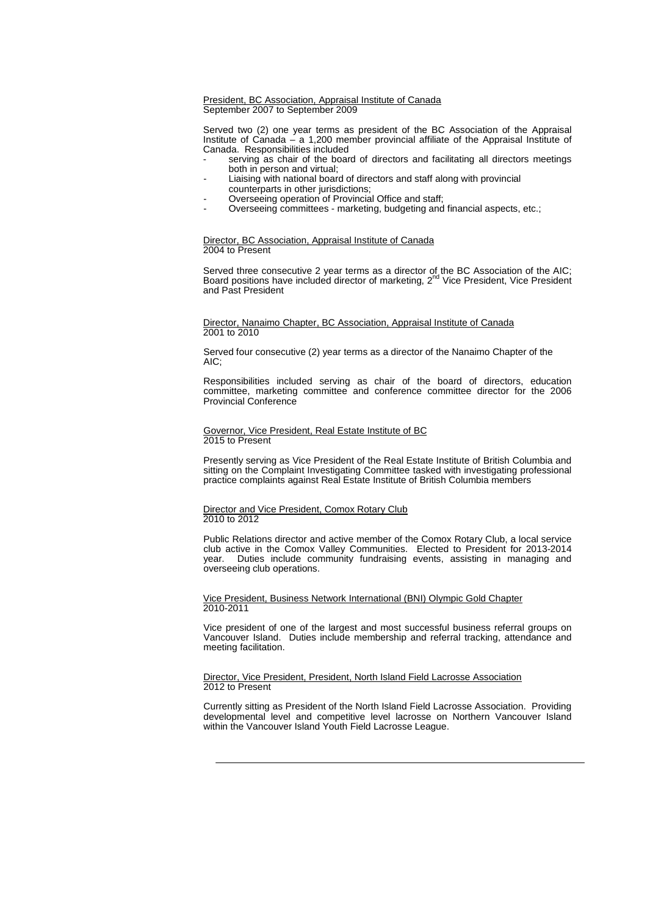#### President, BC Association, Appraisal Institute of Canada September 2007 to September 2009

Served two (2) one year terms as president of the BC Association of the Appraisal Institute of Canada – a 1,200 member provincial affiliate of the Appraisal Institute of Canada. Responsibilities included

- serving as chair of the board of directors and facilitating all directors meetings both in person and virtual;
- Liaising with national board of directors and staff along with provincial counterparts in other jurisdictions;
- Overseeing operation of Provincial Office and staff:
- Overseeing committees marketing, budgeting and financial aspects, etc.;

#### Director, BC Association, Appraisal Institute of Canada 2004 to Present

Served three consecutive 2 year terms as a director of the BC Association of the AIC;<br>Board positions have included director of marketing, 2<sup>nd</sup> Vice President, Vice President and Past President

## Director, Nanaimo Chapter, BC Association, Appraisal Institute of Canada 2001 to 2010

Served four consecutive (2) year terms as a director of the Nanaimo Chapter of the AIC;

Responsibilities included serving as chair of the board of directors, education committee, marketing committee and conference committee director for the 2006 Provincial Conference

## Governor, Vice President, Real Estate Institute of BC 2015 to Present

Presently serving as Vice President of the Real Estate Institute of British Columbia and sitting on the Complaint Investigating Committee tasked with investigating professional practice complaints against Real Estate Institute of British Columbia members

## Director and Vice President, Comox Rotary Club 2010 to 2012

Public Relations director and active member of the Comox Rotary Club, a local service club active in the Comox Valley Communities. Elected to President for 2013-2014 year. Duties include community fundraising events, assisting in managing and overseeing club operations.

Vice President, Business Network International (BNI) Olympic Gold Chapter 2010-2011

Vice president of one of the largest and most successful business referral groups on Vancouver Island. Duties include membership and referral tracking, attendance and meeting facilitation.

#### Director, Vice President, President, North Island Field Lacrosse Association 2012 to Present

Currently sitting as President of the North Island Field Lacrosse Association. Providing developmental level and competitive level lacrosse on Northern Vancouver Island within the Vancouver Island Youth Field Lacrosse League.